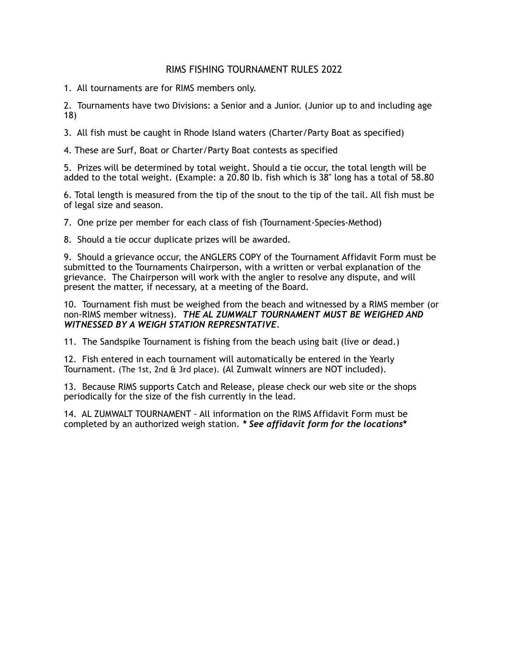## RIMS FISHING TOURNAMENT RULES 2022

1. All tournaments are for RIMS members only.

2. Tournaments have two Divisions: a Senior and a Junior. (Junior up to and including age 18)

3. All fish must be caught in Rhode Island waters (Charter/Party Boat as specified)

4. These are Surf, Boat or Charter/Party Boat contests as specified

5. Prizes will be determined by total weight. Should a tie occur, the total length will be added to the total weight. (Example: a 20.80 lb. fish which is 38" long has a total of 58.80

6. Total length is measured from the tip of the snout to the tip of the tail. All fish must be of legal size and season.

7. One prize per member for each class of fish (Tournament-Species-Method)

8. Should a tie occur duplicate prizes will be awarded.

9. Should a grievance occur, the ANGLERS COPY of the Tournament Affidavit Form must be submitted to the Tournaments Chairperson, with a written or verbal explanation of the grievance. The Chairperson will work with the angler to resolve any dispute, and will present the matter, if necessary, at a meeting of the Board.

10. Tournament fish must be weighed from the beach and witnessed by a RIMS member (or non-RIMS member witness). *THE AL ZUMWALT TOURNAMENT MUST BE WEIGHED AND WITNESSED BY A WEIGH STATION REPRESNTATIVE.*

11. The Sandspike Tournament is fishing from the beach using bait (live or dead.)

12. Fish entered in each tournament will automatically be entered in the Yearly Tournament. (The 1st, 2nd & 3rd place). (Al Zumwalt winners are NOT included).

13. Because RIMS supports Catch and Release, please check our web site or the shops periodically for the size of the fish currently in the lead.

14. AL ZUMWALT TOURNAMENT - All information on the RIMS Affidavit Form must be completed by an authorized weigh station. *\* See affidavit form for the locations***\***